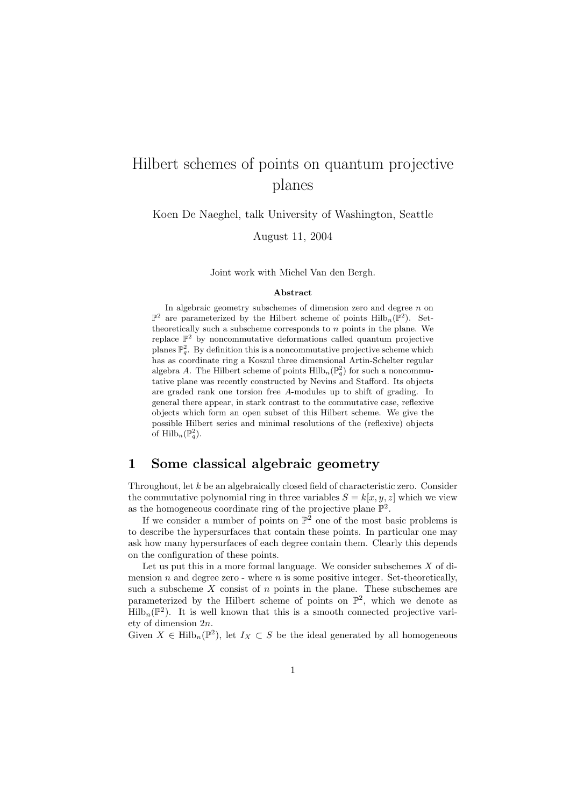# Hilbert schemes of points on quantum projective planes

Koen De Naeghel, talk University of Washington, Seattle

August 11, 2004

Joint work with Michel Van den Bergh.

#### Abstract

In algebraic geometry subschemes of dimension zero and degree  $n$  on  $\mathbb{P}^2$  are parameterized by the Hilbert scheme of points  $\text{Hilb}_n(\mathbb{P}^2)$ . Settheoretically such a subscheme corresponds to  $n$  points in the plane. We replace  $\mathbb{P}^2$  by noncommutative deformations called quantum projective planes  $\mathbb{P}_q^2$ . By definition this is a noncommutative projective scheme which has as coordinate ring a Koszul three dimensional Artin-Schelter regular algebra A. The Hilbert scheme of points  $\mathrm{Hilb}_{n}(\mathbb{P}_{q}^{2})$  for such a noncommutative plane was recently constructed by Nevins and Stafford. Its objects are graded rank one torsion free A-modules up to shift of grading. In general there appear, in stark contrast to the commutative case, reflexive objects which form an open subset of this Hilbert scheme. We give the possible Hilbert series and minimal resolutions of the (reflexive) objects of  $\mathrm{Hilb}_n(\mathbb{P}^2_q)$ .

# 1 Some classical algebraic geometry

Throughout, let k be an algebraically closed field of characteristic zero. Consider the commutative polynomial ring in three variables  $S = k[x, y, z]$  which we view as the homogeneous coordinate ring of the projective plane  $\mathbb{P}^2$ .

If we consider a number of points on  $\mathbb{P}^2$  one of the most basic problems is to describe the hypersurfaces that contain these points. In particular one may ask how many hypersurfaces of each degree contain them. Clearly this depends on the configuration of these points.

Let us put this in a more formal language. We consider subschemes  $X$  of dimension n and degree zero - where  $n$  is some positive integer. Set-theoretically, such a subscheme  $X$  consist of  $n$  points in the plane. These subschemes are parameterized by the Hilbert scheme of points on  $\mathbb{P}^2$ , which we denote as  $\text{Hilb}_n(\mathbb{P}^2)$ . It is well known that this is a smooth connected projective variety of dimension 2n.

Given  $X \in \text{Hilb}_n(\mathbb{P}^2)$ , let  $I_X \subset S$  be the ideal generated by all homogeneous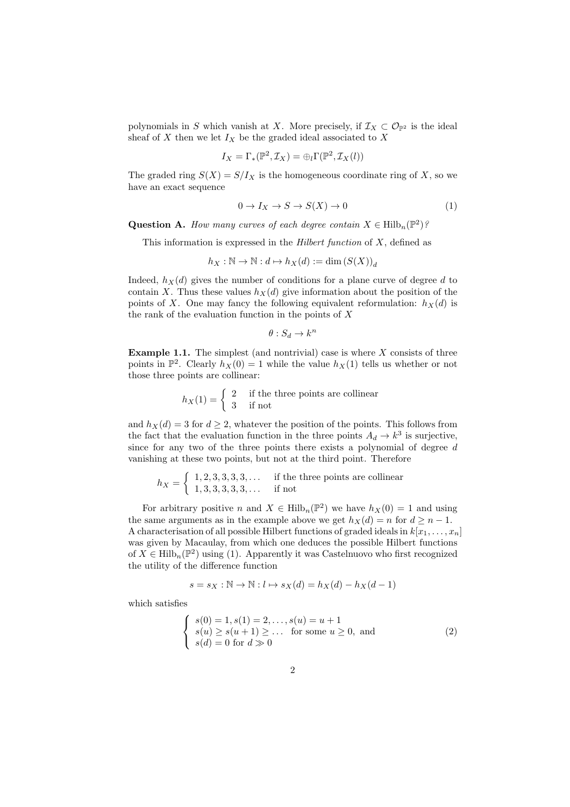polynomials in S which vanish at X. More precisely, if  $\mathcal{I}_X \subset \mathcal{O}_{\mathbb{P}^2}$  is the ideal sheaf of  $X$  then we let  $I_X$  be the graded ideal associated to  $X$ 

$$
I_X = \Gamma_*(\mathbb{P}^2, \mathcal{I}_X) = \bigoplus_l \Gamma(\mathbb{P}^2, \mathcal{I}_X(l))
$$

The graded ring  $S(X) = S/I_X$  is the homogeneous coordinate ring of X, so we have an exact sequence

$$
0 \to I_X \to S \to S(X) \to 0 \tag{1}
$$

**Question A.** How many curves of each degree contain  $X \in \text{Hilb}_n(\mathbb{P}^2)$ ?

This information is expressed in the *Hilbert function* of  $X$ , defined as

$$
h_X:\mathbb{N}\to\mathbb{N}:d\mapsto h_X(d):=\dim\left(S(X)\right)_d
$$

Indeed,  $h_X(d)$  gives the number of conditions for a plane curve of degree d to contain X. Thus these values  $h_X(d)$  give information about the position of the points of X. One may fancy the following equivalent reformulation:  $h_X(d)$  is the rank of the evaluation function in the points of  $X$ 

$$
\theta: S_d \to k^n
$$

**Example 1.1.** The simplest (and nontrivial) case is where  $X$  consists of three points in  $\mathbb{P}^2$ . Clearly  $h_X(0) = 1$  while the value  $h_X(1)$  tells us whether or not those three points are collinear:

$$
h_X(1) = \begin{cases} 2 & \text{if the three points are collinear} \\ 3 & \text{if not} \end{cases}
$$

and  $h_X(d) = 3$  for  $d \geq 2$ , whatever the position of the points. This follows from the fact that the evaluation function in the three points  $A_d \to k^3$  is surjective, since for any two of the three points there exists a polynomial of degree  $d$ vanishing at these two points, but not at the third point. Therefore

$$
h_X = \left\{ \begin{array}{ll} 1, 2, 3, 3, 3, 3, \dots & \text{if the three points are collinear} \\ 1, 3, 3, 3, 3, 3, \dots & \text{if not} \end{array} \right.
$$

For arbitrary positive n and  $X \in \text{Hilb}_n(\mathbb{P}^2)$  we have  $h_X(0) = 1$  and using the same arguments as in the example above we get  $h_X(d) = n$  for  $d \geq n - 1$ . A characterisation of all possible Hilbert functions of graded ideals in  $k[x_1, \ldots, x_n]$ was given by Macaulay, from which one deduces the possible Hilbert functions of  $X \in \text{Hilb}_n(\mathbb{P}^2)$  using (1). Apparently it was Castelnuovo who first recognized the utility of the difference function

$$
s = s_X : \mathbb{N} \to \mathbb{N} : l \mapsto s_X(d) = h_X(d) - h_X(d-1)
$$

which satisfies

$$
\begin{cases}\ns(0) = 1, s(1) = 2, \dots, s(u) = u + 1 \\
s(u) \ge s(u+1) \ge \dots \text{ for some } u \ge 0, \text{ and} \\
s(d) = 0 \text{ for } d \gg 0\n\end{cases}
$$
\n(2)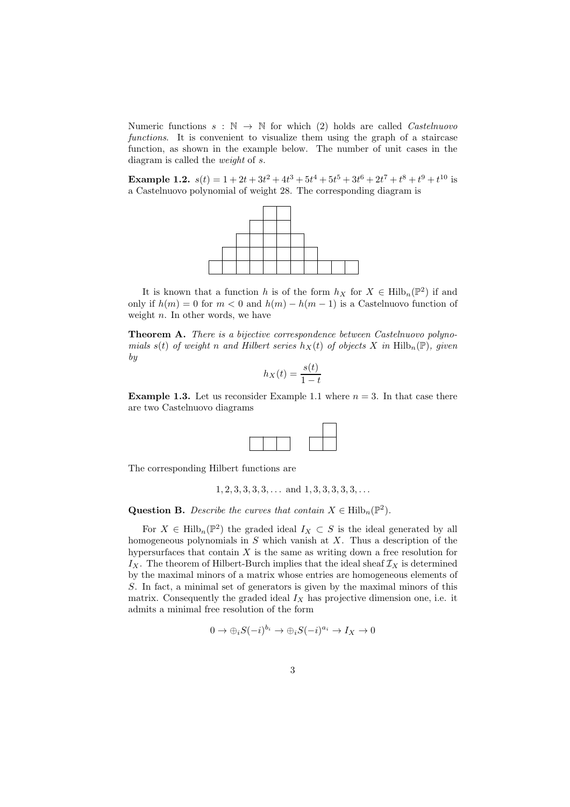Numeric functions  $s : \mathbb{N} \to \mathbb{N}$  for which (2) holds are called *Castelnuovo* functions. It is convenient to visualize them using the graph of a staircase function, as shown in the example below. The number of unit cases in the diagram is called the weight of s.

**Example 1.2.**  $s(t) = 1 + 2t + 3t^2 + 4t^3 + 5t^4 + 5t^5 + 3t^6 + 2t^7 + t^8 + t^9 + t^{10}$  is a Castelnuovo polynomial of weight 28. The corresponding diagram is



It is known that a function h is of the form  $h_X$  for  $X \in \text{Hilb}_n(\mathbb{P}^2)$  if and only if  $h(m) = 0$  for  $m < 0$  and  $h(m) - h(m - 1)$  is a Castelnuovo function of weight  $n$ . In other words, we have

Theorem A. There is a bijective correspondence between Castelnuovo polynomials s(t) of weight n and Hilbert series  $h_X(t)$  of objects X in Hilb<sub>n</sub>(P), given by

$$
h_X(t) = \frac{s(t)}{1-t}
$$

**Example 1.3.** Let us reconsider Example 1.1 where  $n = 3$ . In that case there are two Castelnuovo diagrams



The corresponding Hilbert functions are

$$
1, 2, 3, 3, 3, 3, \ldots
$$
 and  $1, 3, 3, 3, 3, 3, \ldots$ 

**Question B.** Describe the curves that contain  $X \in \text{Hilb}_n(\mathbb{P}^2)$ .

For  $X \in \text{Hilb}_n(\mathbb{P}^2)$  the graded ideal  $I_X \subset S$  is the ideal generated by all homogeneous polynomials in  $S$  which vanish at  $X$ . Thus a description of the hypersurfaces that contain  $X$  is the same as writing down a free resolution for  $I_X$ . The theorem of Hilbert-Burch implies that the ideal sheaf  $\mathcal{I}_X$  is determined by the maximal minors of a matrix whose entries are homogeneous elements of S. In fact, a minimal set of generators is given by the maximal minors of this matrix. Consequently the graded ideal  $I_X$  has projective dimension one, i.e. it admits a minimal free resolution of the form

$$
0 \to \bigoplus_i S(-i)^{b_i} \to \bigoplus_i S(-i)^{a_i} \to I_X \to 0
$$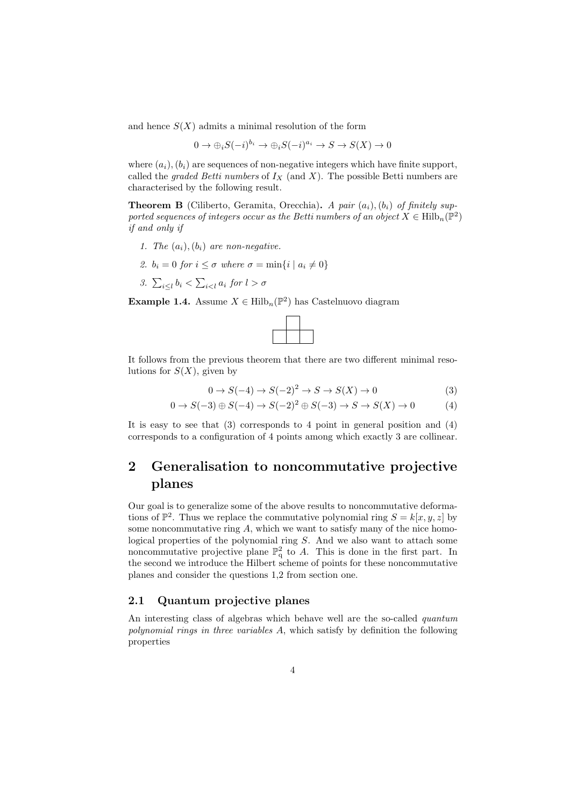and hence  $S(X)$  admits a minimal resolution of the form

$$
0 \to \bigoplus_i S(-i)^{b_i} \to \bigoplus_i S(-i)^{a_i} \to S \to S(X) \to 0
$$

where  $(a_i)$ ,  $(b_i)$  are sequences of non-negative integers which have finite support, called the *graded Betti numbers* of  $I_X$  (and X). The possible Betti numbers are characterised by the following result.

**Theorem B** (Ciliberto, Geramita, Orecchia). A pair  $(a_i)$ ,  $(b_i)$  of finitely supported sequences of integers occur as the Betti numbers of an object  $X \in \text{Hilb}_n(\mathbb{P}^2)$ if and only if

- 1. The  $(a_i), (b_i)$  are non-negative.
- 2.  $b_i = 0$  for  $i \leq \sigma$  where  $\sigma = \min\{i \mid a_i \neq 0\}$
- 3.  $\sum_{i\leq l} b_i < \sum_{i\leq l} a_i$  for  $l > \sigma$

**Example 1.4.** Assume  $X \in \mathrm{Hilb}_n(\mathbb{P}^2)$  has Castelnuovo diagram



It follows from the previous theorem that there are two different minimal resolutions for  $S(X)$ , given by

$$
0 \to S(-4) \to S(-2)^2 \to S \to S(X) \to 0
$$
\n<sup>(3)</sup>

$$
0 \to S(-3) \oplus S(-4) \to S(-2)^2 \oplus S(-3) \to S \to S(X) \to 0
$$
 (4)

It is easy to see that  $(3)$  corresponds to 4 point in general position and  $(4)$ corresponds to a configuration of 4 points among which exactly 3 are collinear.

# 2 Generalisation to noncommutative projective planes

Our goal is to generalize some of the above results to noncommutative deformations of  $\mathbb{P}^2$ . Thus we replace the commutative polynomial ring  $S = k[x, y, z]$  by some noncommutative ring  $A$ , which we want to satisfy many of the nice homological properties of the polynomial ring S. And we also want to attach some noncommutative projective plane  $\mathbb{P}^2_q$  to A. This is done in the first part. In the second we introduce the Hilbert scheme of points for these noncommutative planes and consider the questions 1,2 from section one.

### 2.1 Quantum projective planes

An interesting class of algebras which behave well are the so-called *quantum* polynomial rings in three variables A, which satisfy by definition the following properties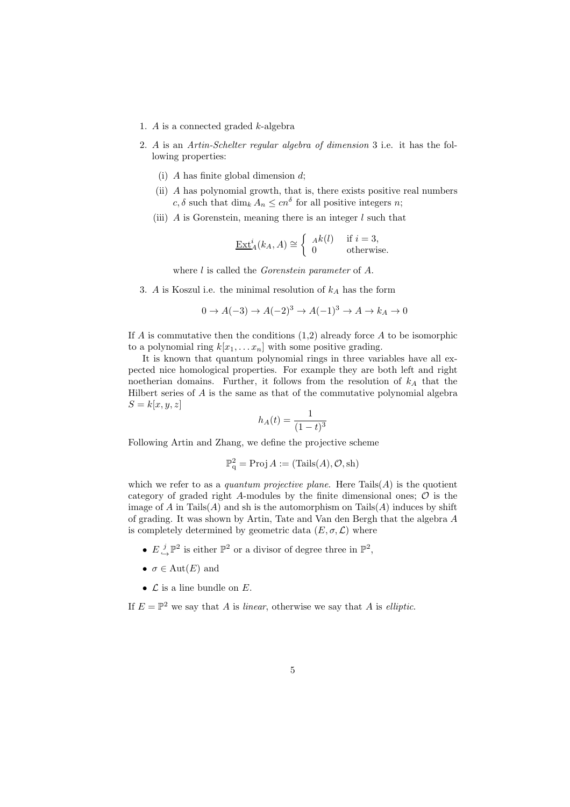- 1. A is a connected graded  $k$ -algebra
- 2. A is an Artin-Schelter regular algebra of dimension 3 i.e. it has the following properties:
	- (i) A has finite global dimension  $d$ ;
	- (ii) A has polynomial growth, that is, there exists positive real numbers  $c, \delta$  such that  $\dim_k A_n \leq c n^{\delta}$  for all positive integers n;
	- (iii)  $\vec{A}$  is Gorenstein, meaning there is an integer l such that

$$
\underline{\operatorname{Ext}}_A^i(k_A, A) \cong \begin{cases} A^k(l) & \text{if } i = 3, \\ 0 & \text{otherwise.} \end{cases}
$$

where *l* is called the *Gorenstein parameter* of *A*.

3. A is Koszul i.e. the minimal resolution of  $k_A$  has the form

$$
0 \to A(-3) \to A(-2)^3 \to A(-1)^3 \to A \to k_A \to 0
$$

If A is commutative then the conditions  $(1,2)$  already force A to be isomorphic to a polynomial ring  $k[x_1, \ldots x_n]$  with some positive grading.

It is known that quantum polynomial rings in three variables have all expected nice homological properties. For example they are both left and right noetherian domains. Further, it follows from the resolution of  $k_A$  that the Hilbert series of A is the same as that of the commutative polynomial algebra  $S = k[x, y, z]$ 

$$
h_A(t) = \frac{1}{(1-t)^3}
$$

Following Artin and Zhang, we define the projective scheme

$$
\mathbb{P}^2_q = \text{Proj}\, A := (\text{Tails}(A), \mathcal{O}, \text{sh})
$$

which we refer to as a *quantum projective plane*. Here  $Tails(A)$  is the quotient category of graded right A-modules by the finite dimensional ones;  $\mathcal O$  is the image of  $A$  in Tails $(A)$  and sh is the automorphism on Tails $(A)$  induces by shift of grading. It was shown by Artin, Tate and Van den Bergh that the algebra A is completely determined by geometric data  $(E, \sigma, \mathcal{L})$  where

- $E \underset{\hookrightarrow}{\overset{j}{\rightarrow}} \mathbb{P}^2$  is either  $\mathbb{P}^2$  or a divisor of degree three in  $\mathbb{P}^2$ ,
- $\sigma \in \text{Aut}(E)$  and
- $\mathcal L$  is a line bundle on  $E$ .

If  $E = \mathbb{P}^2$  we say that A is linear, otherwise we say that A is elliptic.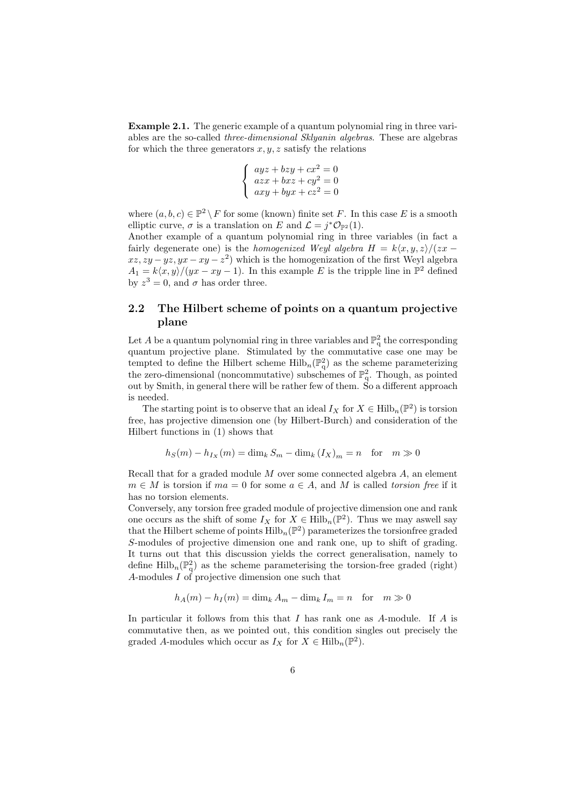Example 2.1. The generic example of a quantum polynomial ring in three variables are the so-called three-dimensional Sklyanin algebras. These are algebras for which the three generators  $x, y, z$  satisfy the relations

$$
\begin{cases}\nayz + bzy + cx^2 = 0\\ \nazx + bxz + cy^2 = 0\\ \naxy + byx + cz^2 = 0\n\end{cases}
$$

where  $(a, b, c) \in \mathbb{P}^2 \setminus F$  for some (known) finite set F. In this case E is a smooth elliptic curve,  $\sigma$  is a translation on E and  $\mathcal{L} = j^* \mathcal{O}_{\mathbb{P}^2}(1)$ .

Another example of a quantum polynomial ring in three variables (in fact a fairly degenerate one) is the *homogenized Weyl algebra*  $H = k\langle x, y, z \rangle / (zx$  $xz, zy - yz, yx - xy - z^2$  which is the homogenization of the first Weyl algebra  $A_1 = k\langle x, y \rangle / (yx - xy - 1)$ . In this example E is the tripple line in  $\mathbb{P}^2$  defined by  $z^3 = 0$ , and  $\sigma$  has order three.

## 2.2 The Hilbert scheme of points on a quantum projective plane

Let A be a quantum polynomial ring in three variables and  $\mathbb{P}^2_q$  the corresponding quantum projective plane. Stimulated by the commutative case one may be tempted to define the Hilbert scheme  $\mathrm{Hilb}_n(\mathbb{P}^2_q)$  as the scheme parameterizing the zero-dimensional (noncommutative) subschemes of  $\mathbb{P}^2_q$ . Though, as pointed out by Smith, in general there will be rather few of them. So a different approach is needed.

The starting point is to observe that an ideal  $I_X$  for  $X \in \text{Hilb}_n(\mathbb{P}^2)$  is torsion free, has projective dimension one (by Hilbert-Burch) and consideration of the Hilbert functions in (1) shows that

$$
h_S(m) - h_{I_X}(m) = \dim_k S_m - \dim_k (I_X)_m = n \text{ for } m \gg 0
$$

Recall that for a graded module  $M$  over some connected algebra  $A$ , an element  $m \in M$  is torsion if  $ma = 0$  for some  $a \in A$ , and M is called torsion free if it has no torsion elements.

Conversely, any torsion free graded module of projective dimension one and rank one occurs as the shift of some  $I_X$  for  $X \in \text{Hilb}_n(\mathbb{P}^2)$ . Thus we may aswell say that the Hilbert scheme of points  $\mathrm{Hilb}_{n}(\mathbb{P}^{2})$  parameterizes the torsionfree graded S-modules of projective dimension one and rank one, up to shift of grading. It turns out that this discussion yields the correct generalisation, namely to define  $\mathrm{Hilb}_{n}(\mathbb{P}_{q}^{2})$  as the scheme parameterising the torsion-free graded (right) A-modules I of projective dimension one such that

$$
h_A(m) - h_I(m) = \dim_k A_m - \dim_k I_m = n \text{ for } m \gg 0
$$

In particular it follows from this that I has rank one as  $A$ -module. If  $A$  is commutative then, as we pointed out, this condition singles out precisely the graded A-modules which occur as  $I_X$  for  $X \in \text{Hilb}_n(\mathbb{P}^2)$ .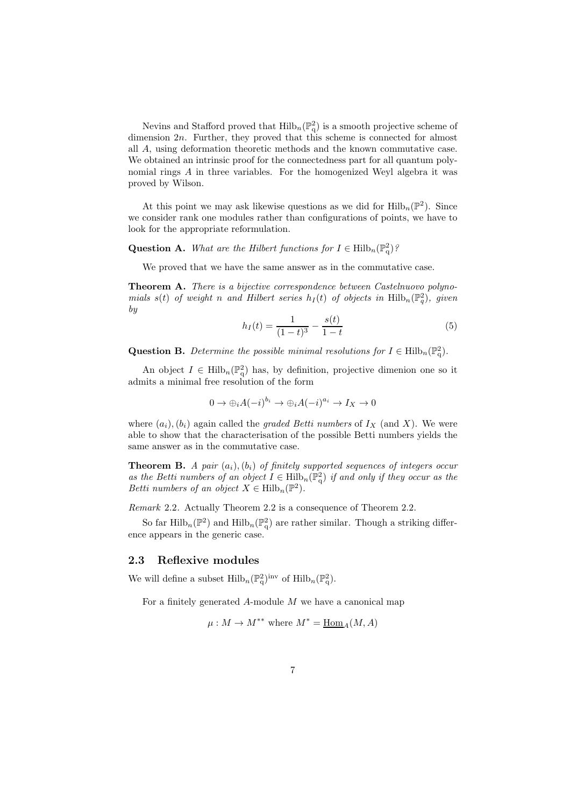Nevins and Stafford proved that  $\mathrm{Hilb}_{n}(\mathbb{P}_{q}^{2})$  is a smooth projective scheme of dimension 2n. Further, they proved that this scheme is connected for almost all A, using deformation theoretic methods and the known commutative case. We obtained an intrinsic proof for the connectedness part for all quantum polynomial rings A in three variables. For the homogenized Weyl algebra it was proved by Wilson.

At this point we may ask likewise questions as we did for  $\mathrm{Hilb}_n(\mathbb{P}^2)$ . Since we consider rank one modules rather than configurations of points, we have to look for the appropriate reformulation.

**Question A.** What are the Hilbert functions for  $I \in \text{Hilb}_n(\mathbb{P}_q^2)$ ?

We proved that we have the same answer as in the commutative case.

Theorem A. There is a bijective correspondence between Castelnuovo polynomials  $s(t)$  of weight n and Hilbert series  $h_I(t)$  of objects in  $\text{Hilb}_n(\mathbb{P}_q^2)$ , given by

$$
h_I(t) = \frac{1}{(1-t)^3} - \frac{s(t)}{1-t}
$$
 (5)

Question B. Determine the possible minimal resolutions for  $I \in \text{Hilb}_n(\mathbb{P}_q^2)$ .

An object  $I \in \text{Hilb}_n(\mathbb{P}_q^2)$  has, by definition, projective dimenion one so it admits a minimal free resolution of the form

$$
0 \to \bigoplus_i A(-i)^{b_i} \to \bigoplus_i A(-i)^{a_i} \to I_X \to 0
$$

where  $(a_i), (b_i)$  again called the *graded Betti numbers* of  $I_X$  (and X). We were able to show that the characterisation of the possible Betti numbers yields the same answer as in the commutative case.

**Theorem B.** A pair  $(a_i)$ ,  $(b_i)$  of finitely supported sequences of integers occur as the Betti numbers of an object  $I \in \mathrm{Hilb}_{n}(\mathbb{P}_{q}^{2})$  if and only if they occur as the Betti numbers of an object  $X \in \text{Hilb}_n(\mathbb{P}^2)$ .

Remark 2.2. Actually Theorem 2.2 is a consequence of Theorem 2.2.

So far  $\mathrm{Hilb}_{n}(\mathbb{P}^{2})$  and  $\mathrm{Hilb}_{n}(\mathbb{P}^{2}_{q})$  are rather similar. Though a striking difference appears in the generic case.

### 2.3 Reflexive modules

We will define a subset  $\mathrm{Hilb}_{n}(\mathbb{P}_{q}^{2})^{\mathrm{inv}}$  of  $\mathrm{Hilb}_{n}(\mathbb{P}_{q}^{2})$ .

For a finitely generated  $A$ -module  $M$  we have a canonical map

$$
\mu: M \to M^{**}
$$
 where  $M^* = \underline{\rm Hom}_A(M, A)$